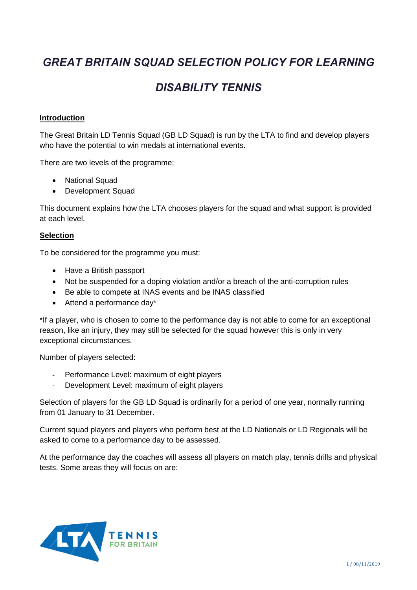# *GREAT BRITAIN SQUAD SELECTION POLICY FOR LEARNING*

## *DISABILITY TENNIS*

#### **Introduction**

The Great Britain LD Tennis Squad (GB LD Squad) is run by the LTA to find and develop players who have the potential to win medals at international events.

There are two levels of the programme:

- National Squad
- Development Squad

This document explains how the LTA chooses players for the squad and what support is provided at each level.

#### **Selection**

To be considered for the programme you must:

- Have a British passport
- Not be suspended for a doping violation and/or a breach of the anti-corruption rules
- Be able to compete at INAS events and be INAS classified
- Attend a performance day\*

\*If a player, who is chosen to come to the performance day is not able to come for an exceptional reason, like an injury, they may still be selected for the squad however this is only in very exceptional circumstances.

Number of players selected:

- Performance Level: maximum of eight players
- Development Level: maximum of eight players

Selection of players for the GB LD Squad is ordinarily for a period of one year, normally running from 01 January to 31 December.

Current squad players and players who perform best at the LD Nationals or LD Regionals will be asked to come to a performance day to be assessed.

At the performance day the coaches will assess all players on match play, tennis drills and physical tests. Some areas they will focus on are:

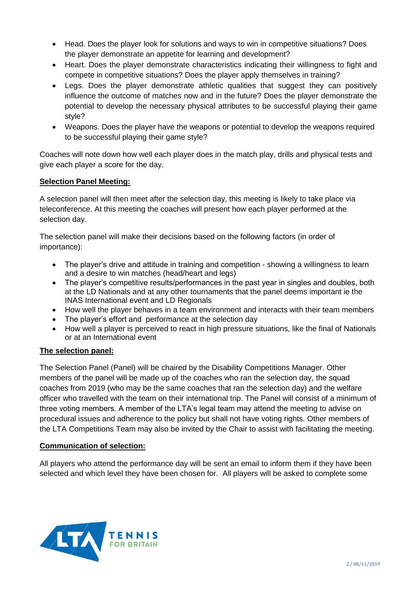- Head. Does the player look for solutions and ways to win in competitive situations? Does the player demonstrate an appetite for learning and development?
- Heart. Does the player demonstrate characteristics indicating their willingness to fight and compete in competitive situations? Does the player apply themselves in training?
- Legs. Does the player demonstrate athletic qualities that suggest they can positively influence the outcome of matches now and in the future? Does the player demonstrate the potential to develop the necessary physical attributes to be successful playing their game style?
- Weapons. Does the player have the weapons or potential to develop the weapons required to be successful playing their game style?

Coaches will note down how well each player does in the match play, drills and physical tests and give each player a score for the day.

## **Selection Panel Meeting:**

A selection panel will then meet after the selection day, this meeting is likely to take place via teleconference. At this meeting the coaches will present how each player performed at the selection day.

The selection panel will make their decisions based on the following factors (in order of importance):

- The player's drive and attitude in training and competition showing a willingness to learn and a desire to win matches (head/heart and legs)
- The player's competitive results/performances in the past year in singles and doubles, both at the LD Nationals and at any other tournaments that the panel deems important ie the INAS International event and LD Regionals
- How well the player behaves in a team environment and interacts with their team members
- The player's effort and performance at the selection day
- How well a player is perceived to react in high pressure situations, like the final of Nationals or at an International event

## **The selection panel:**

The Selection Panel (Panel) will be chaired by the Disability Competitions Manager. Other members of the panel will be made up of the coaches who ran the selection day, the squad coaches from 2019 (who may be the same coaches that ran the selection day) and the welfare officer who travelled with the team on their international trip. The Panel will consist of a minimum of three voting members. A member of the LTA's legal team may attend the meeting to advise on procedural issues and adherence to the policy but shall not have voting rights. Other members of the LTA Competitions Team may also be invited by the Chair to assist with facilitating the meeting.

## **Communication of selection:**

All players who attend the performance day will be sent an email to inform them if they have been selected and which level they have been chosen for. All players will be asked to complete some